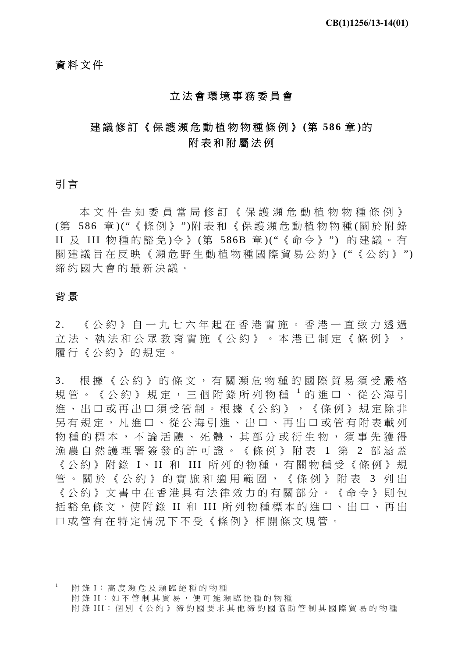# 資料文件

#### 立法會環境事務委員會

# 建議修訂《保護瀕危動植物物種條例》 **(**第 **586** 章 **)**的 附表和附屬法例

## 引 言

本文件告知委員當局修訂《保護瀕危動植物物種條例》 (第 586 章 )("《條例》 ")附表和《保護瀕危動植物物種 (關於附錄 II 及 III 物種的豁免 )令 》 (第 586B 章 )("《命令》 ") 的建議。有 關建議旨在反映《瀕危野生動植物種國際貿易公約》("《公約》") 締約國大會的最新決議。

### 背 景

1

2. 《公約》自一九七六年起在香港實施。香港一直致力透過 立法、執法和公眾教育實施《公約》。本港已制定《條例》, 履行《公約》的規定。

3. 根據《公約》的條文,有關瀕危物種的國際貿易須受嚴格 規管。《公約》規定,三個附錄所列物種 1的進口、從公海引 進、出口或再出口須受管制。根據《公約》,《條例》規定除非 另有規定,凡進口、從公海引進、出口、再出口或管有附表載列 物種的標本,不論活體、死體、其部分或衍生物,須事先獲得 漁農自然護理署簽發的許可證。《條例》附表 1 第 2 部涵蓋 《公約》附錄 I、II 和 III 所列的物種,有關物種受《條例》規 管。關於《公約》的實施和適用範圍,《條例》附表 3 列出 《公約》文書中在香港具有法律效力的有關部分。《命令》則包 括豁免條文,使附錄 II 和 III 所列物種標本的進口、出口、再出 口或管有在特定情況下不受 《條例》相關條文規管。

1 附 錄 I:高度瀕危及瀕臨絕種的物種 附錄 II: 如不管制其貿易, 便可能瀕臨絕種的物種 附 錄 III:個別《公約》締約國要求其他締約國協助管制其國際貿易的物種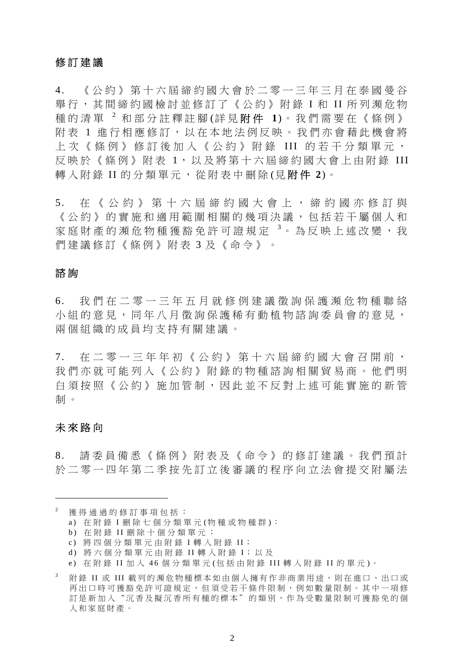## 修訂建議

4. 《公約》第十六屆締約國大會於二零一三年三月在泰國曼谷 舉行, 其間締約國檢討並修訂了《公約》附錄 I 和 II 所列瀕危物 種的清單 <sup>2</sup> 和部分註釋註腳 (詳 見 附 件 **1**)。我們需要在《條例》 附表 1 推行相應修訂,以在本地法例反映。我們亦會藉此機會將 上次《條例》修訂後加入《公約》附錄 III 的若干分類單元, 反映於《條例》附表 1,以及將第十六屆締約國大會上由附錄 III 轉入附錄 II 的分類單元,從附表中刪除(見**附件 2**)。

5. 在《公約》第十六屆締約國 大會上,締約國亦修訂與 《公約》的實施和適用範圍相關的幾項決議,包括若干屬個人和 家庭財產的瀕危物種獲豁免許可證規定 <sup>3</sup>。為反映上述改變, 我 們建議修訂《條例》附表 3 及《命令》。

## 諮 詢

6. 我們在二零一三年五月就修例建議徵詢保護瀕危物種聯絡 小組的意見,同年八月徵詢保護稀有動植物諮詢委員會的意見, 兩個組織的成員均支持有關建議。

7. 在二零一三年年初《公約》第十六屆締約國大會召開前, 我們亦就可能列入《公約》附錄的物種諮詢相關貿易商。他們明 白須按照《公約》施加管制,因此並不反對上述可能實施的新管 制 。

### 未來路向

1

8. 請委員備悉《條例》附表及《命令》的修訂建議。我們預計 於二零一四年第二季按先訂立後審議的程序向立法會提交附屬法

獲得通過的修訂事項包括:

a) 在附錄 I 刪除七個分類單元 (物種或物種群 ):

b) 在附錄 II 刪除十個分類單元;

c) 將四個分類單元由附錄 I 轉入附錄 I I;

d) 將六個分類單元由附錄 I I 轉入附錄 I;以及

e) 在附錄 I I 加 入 4 6 個分類單元 (包括由附錄 III 轉入附錄 I I 的單元 )。

<sup>3</sup> 附 錄 II 或 III 載列的瀕危物種標本如由個人擁有作非商業用途,則在進口、出口或 再出口時可獲豁免許可證規定,但須受若干條件限制,例如數量限制。其中一項修 訂是新加入"沉香及擬沉香所有種的標本"的類別,作為受數量限制可獲豁免的個 人和家庭財產。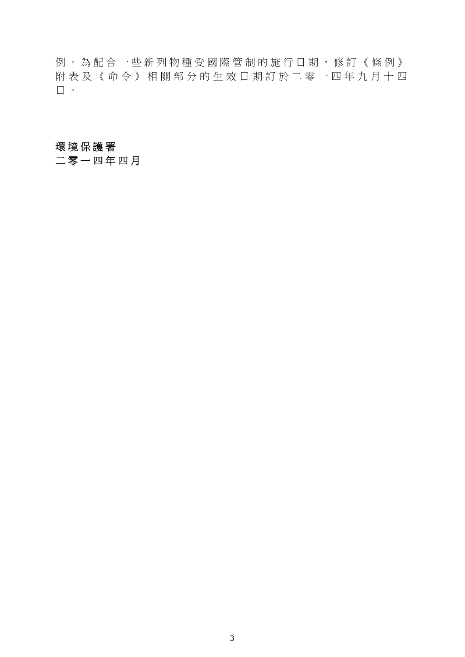例。為配合一些新列物種受國際管制的施行日期,修訂《條例》 附表及《命令》相關部分的生 效日期訂於二零一四年九月十四 日 。

# 環境保護署

二零一四年四月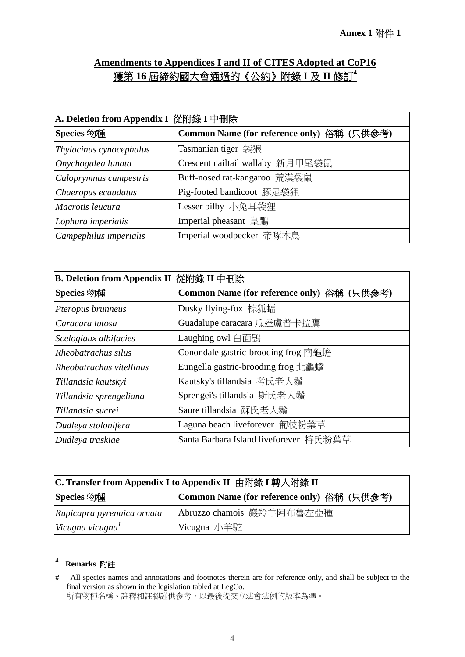# **Amendments to Appendices I and II of CITES Adopted at CoP16**  獲第 **16** 屆締約國大會通過的《公約》附錄 **I** 及 **II** 修訂**<sup>4</sup>**

| A. Deletion from Appendix I 從附錄 I 中刪除 |                                            |  |
|---------------------------------------|--------------------------------------------|--|
| <b>Species 物種</b>                     | Common Name (for reference only) 俗稱 (只供參考) |  |
| Thylacinus cynocephalus               | Tasmanian tiger 袋狼                         |  |
| Onychogalea lunata                    | Crescent nailtail wallaby 新月甲尾袋鼠           |  |
| Caloprymnus campestris                | Buff-nosed rat-kangaroo 荒漠袋鼠               |  |
| Chaeropus ecaudatus                   | Pig-footed bandicoot 豚足袋狸                  |  |
| Macrotis leucura                      | Lesser bilby 小兔耳袋狸                         |  |
| Lophura imperialis                    | Imperial pheasant 皇鷳                       |  |
| Campephilus imperialis                | Imperial woodpecker 帝啄木鳥                   |  |

| <b>B. Deletion from Appendix II 從附錄 II 中刪除</b> |                                            |  |  |
|------------------------------------------------|--------------------------------------------|--|--|
| <b>Species 物種</b>                              | Common Name (for reference only) 俗稱 (只供參考) |  |  |
| Pteropus brunneus                              | Dusky flying-fox 棕狐蝠                       |  |  |
| Caracara lutosa                                | Guadalupe caracara 瓜達盧普卡拉鷹                 |  |  |
| Sceloglaux albifacies                          | Laughing owl 白面鴞                           |  |  |
| Rheobatrachus silus                            | Conondale gastric-brooding frog 南龜蟾        |  |  |
| Rheobatrachus vitellinus                       | Eungella gastric-brooding frog 北龜蟾         |  |  |
| Tillandsia kautskyi                            | Kautsky's tillandsia 考氏老人鬚                 |  |  |
| Tillandsia sprengeliana                        | Sprengei's tillandsia 斯氏老人鬚                |  |  |
| Tillandsia sucrei                              | Saure tillandsia 蘇氏老人鬚                     |  |  |
| Dudleya stolonifera                            | Laguna beach liveforever 匍枝粉葉草             |  |  |
| Dudleya traskiae                               | Santa Barbara Island liveforever 特氏粉葉草     |  |  |

| C. Transfer from Appendix I to Appendix II 由附錄 I 轉入附錄 II |                                            |  |  |
|----------------------------------------------------------|--------------------------------------------|--|--|
| <b>Species 物種</b>                                        | Common Name (for reference only) 俗稱 (只供參考) |  |  |
| Rupicapra pyrenaica ornata                               | Abruzzo chamois 巖羚羊阿布魯左亞種                  |  |  |
| Vicugna vicugna                                          | Vicugna 小羊駝                                |  |  |

# <sup>4</sup> **Remarks** 附註

1

<sup>#</sup> All species names and annotations and footnotes therein are for reference only, and shall be subject to the final version as shown in the legislation tabled at LegCo.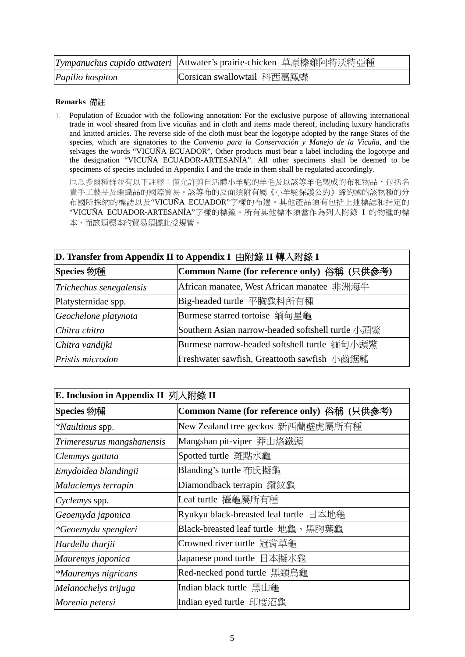|                  | Tympanuchus cupido attwateri   Attwater's prairie-chicken 草原榛雞阿特沃特亞種 |
|------------------|----------------------------------------------------------------------|
| Papilio hospiton | Corsican swallowtail 科西嘉鳳蝶                                           |

#### **Remarks** 備註

1. Population of Ecuador with the following annotation: For the exclusive purpose of allowing international trade in wool sheared from live vicuñas and in cloth and items made thereof, including luxury handicrafts and knitted articles. The reverse side of the cloth must bear the logotype adopted by the range States of the species, which are signatories to the *Convenio para la Conservación y Manejo de la Vicuña*, and the selvages the words "VICUÑA ECUADOR". Other products must bear a label including the logotype and the designation "VICUÑA ECUADOR-ARTESANÍA". All other specimens shall be deemed to be specimens of species included in Appendix I and the trade in them shall be regulated accordingly.

厄瓜多爾種群並有以下註釋:僅允許剪自活體小羊駝的羊毛及以該等羊毛製成的布和物品,包括名 貴手工藝品及編織品的國際貿易。該等布的反面須附有屬《小羊駝保護公約》締約國的該物種的分 布國所採納的標誌以及"VICUÑA ECUADOR"字樣的布邊。其他產品須有包括上述標誌和指定的 "VICUÑA ECUADOR-ARTESANÍA"字樣的標籤。所有其他標本須當作為列入附錄 I 的物種的標 本,而該類標本的貿易須據此受規管。

| D. Transfer from Appendix II to Appendix I 由附錄 II 轉入附錄 I |                                                   |  |  |
|----------------------------------------------------------|---------------------------------------------------|--|--|
| <b>Species 物種</b>                                        | Common Name (for reference only) 俗稱 (只供參考)        |  |  |
| Trichechus senegalensis                                  | African manatee, West African manatee 非洲海牛        |  |  |
| Platysternidae spp.                                      | Big-headed turtle 平胸龜科所有種                         |  |  |
| Geochelone platynota                                     | Burmese starred tortoise 缅甸星龜                     |  |  |
| Chitra chitra                                            | Southern Asian narrow-headed softshell turtle 小頭鱉 |  |  |
| Chitra vandijki                                          | Burmese narrow-headed softshell turtle 缅甸小頭鱉      |  |  |
| Pristis microdon                                         | Freshwater sawfish, Greattooth sawfish 小齒鋸鰩       |  |  |

| E. Inclusion in Appendix II 列入附錄 II |                                            |  |  |
|-------------------------------------|--------------------------------------------|--|--|
| Species 物種                          | Common Name (for reference only) 俗稱 (只供參考) |  |  |
| *Naultinus spp.                     | New Zealand tree geckos 新西蘭壁虎屬所有種          |  |  |
| Trimeresurus mangshanensis          | Mangshan pit-viper 莽山烙鐵頭                   |  |  |
| Clemmys guttata                     | Spotted turtle 斑點水龜                        |  |  |
| Emydoidea blandingii                | Blanding's turtle 布氏擬龜                     |  |  |
| Malaclemys terrapin                 | Diamondback terrapin 鑽紋龜                   |  |  |
| Cyclemys spp.                       | Leaf turtle 攝龜屬所有種                         |  |  |
| Geoemyda japonica                   | Ryukyu black-breasted leaf turtle 日本地龜     |  |  |
| <i>*Geoemyda spengleri</i>          | Black-breasted leaf turtle 地龜、黑胸葉龜         |  |  |
| Hardella thurjii                    | Crowned river turtle 冠背草龜                  |  |  |
| Mauremys japonica                   | Japanese pond turtle 日本擬水龜                 |  |  |
| *Mauremys nigricans                 | Red-necked pond turtle 黑頸烏龜                |  |  |
| Melanochelys trijuga                | Indian black turtle 黑山龜                    |  |  |
| Morenia petersi                     | Indian eyed turtle 印度沼龜                    |  |  |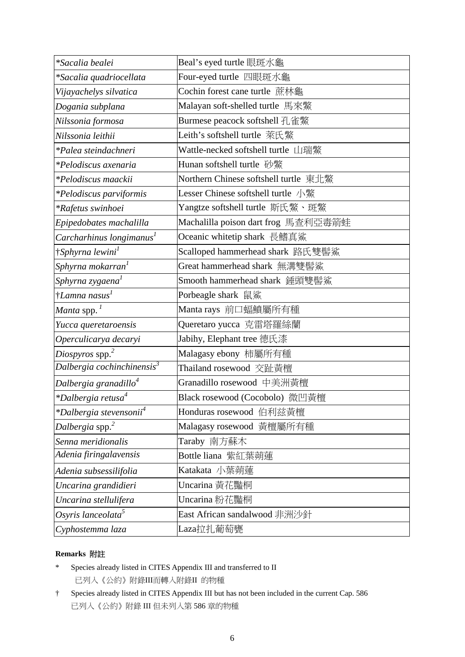| <i>*Sacalia bealei</i>                    | Beal's eyed turtle 眼斑水龜               |  |  |
|-------------------------------------------|---------------------------------------|--|--|
| *Sacalia quadriocellata                   | Four-eyed turtle 四眼斑水龜                |  |  |
| Vijayachelys silvatica                    | Cochin forest cane turtle 蔗林龜         |  |  |
| Dogania subplana                          | Malayan soft-shelled turtle 馬來鱉       |  |  |
| Nilssonia formosa                         | Burmese peacock softshell 孔雀鱉         |  |  |
| Nilssonia leithii                         | Leith's softshell turtle 萊氏鱉          |  |  |
| *Palea steindachneri                      | Wattle-necked softshell turtle 山瑞鱉    |  |  |
| *Pelodiscus axenaria                      | Hunan softshell turtle 砂鱉             |  |  |
| *Pelodiscus maackii                       | Northern Chinese softshell turtle 東北鱉 |  |  |
| *Pelodiscus parviformis                   | Lesser Chinese softshell turtle 小鱉    |  |  |
| *Rafetus swinhoei                         | Yangtze softshell turtle 斯氏鱉、斑鱉       |  |  |
| Epipedobates machalilla                   | Machalilla poison dart frog 馬查利亞毒箭蛙   |  |  |
| Carcharhinus longimanus <sup>1</sup>      | Oceanic whitetip shark 長鰭真鯊           |  |  |
| †Sphyrna lewini <sup>1</sup>              | Scalloped hammerhead shark 路氏雙髻鯊      |  |  |
| Sphyrna mokarran <sup>1</sup>             | Great hammerhead shark 無溝雙髻鯊          |  |  |
| Sphyrna zygaena <sup>1</sup>              | Smooth hammerhead shark 錘頭雙髻鯊         |  |  |
| $\dagger$ Lamna nasus <sup>1</sup>        | Porbeagle shark 鼠鯊                    |  |  |
| <i>Manta</i> spp. $^1$                    | Manta rays 前口蝠鱝屬所有種                   |  |  |
| Yucca queretaroensis                      | Queretaro yucca 克雷塔羅絲蘭                |  |  |
| Operculicarya decaryi                     | Jabihy, Elephant tree 德氏漆             |  |  |
| Diospyros spp. $^{2}$                     | Malagasy ebony 柿屬所有種                  |  |  |
| Dalbergia cochinchinensis $3$             | Thailand rosewood 交趾黃檀                |  |  |
| Dalbergia granadillo <sup>4</sup>         | Granadillo rosewood 中美洲黃檀             |  |  |
| <i>*Dalbergia retusa<sup>4</sup></i>      | Black rosewood (Cocobolo) 微凹黃檀        |  |  |
| <i>*Dalbergia stevensonii<sup>4</sup></i> | Honduras rosewood 伯利兹黃檀               |  |  |
| Dalbergia spp. $2$                        | Malagasy rosewood 黃檀屬所有種              |  |  |
| Senna meridionalis                        | Taraby 南方蘇木                           |  |  |
| Adenia firingalavensis                    | Bottle liana 紫紅葉蒴蓮                    |  |  |
| Adenia subsessilifolia                    | Katakata 小葉蒴蓮                         |  |  |
| Uncarina grandidieri                      | Uncarina 黃花豔桐                         |  |  |
| Uncarina stellulifera                     | Uncarina 粉花豔桐                         |  |  |
| Osyris lanceolata <sup>5</sup>            | East African sandalwood 非洲沙針          |  |  |
| Cyphostemma laza                          | Laza拉扎葡萄甕                             |  |  |

#### **Remarks** 附註

- \* Species already listed in CITES Appendix III and transferred to II 已列入《公約》附錄III而轉入附錄II 的物種
- † Species already listed in CITES Appendix III but has not been included in the current Cap. 586 已列入《公約》附錄 III 但未列入第 586 章的物種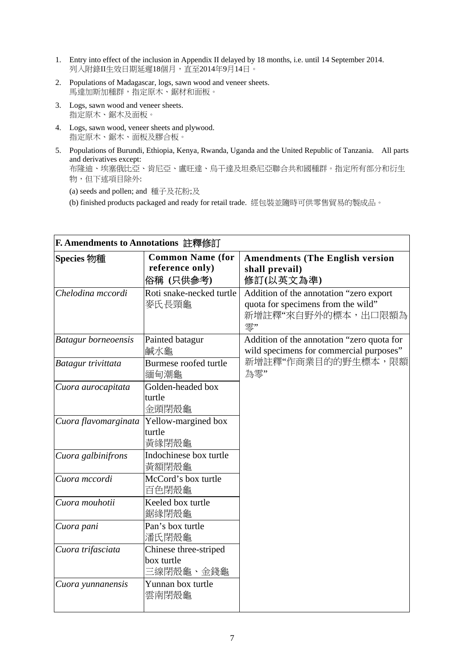- 1. Entry into effect of the inclusion in Appendix II delayed by 18 months, i.e. until 14 September 2014. 列入附錄II生效日期延遲18個月,直至2014年9月14日。
- 2. Populations of Madagascar, logs, sawn wood and veneer sheets. 馬達加斯加種群,指定原木、鋸材和面板。
- 3. Logs, sawn wood and veneer sheets. 指定原木、鋸木及面板。
- 4. Logs, sawn wood, veneer sheets and plywood. 指定原木、鋸木、面板及膠合板。
- 5. Populations of Burundi, Ethiopia, Kenya, Rwanda, Uganda and the United Republic of Tanzania. All parts and derivatives except: 布隆迪、埃塞俄比亞、肯尼亞、盧旺達、烏干達及坦桑尼亞聯合共和國種群。指定所有部分和衍生 物,但下述項目除外:

(a) seeds and pollen; and 種子及花粉;及

(b) finished products packaged and ready for retail trade. 經包裝並隨時可供零售貿易的製成品。

| <b>F. Amendments to Annotations 註釋修訂</b> |                                            |                                                                               |
|------------------------------------------|--------------------------------------------|-------------------------------------------------------------------------------|
| <b>Species 物種</b>                        | <b>Common Name (for</b><br>reference only) | <b>Amendments (The English version</b><br>shall prevail)                      |
|                                          | 俗稱 (只供參考)                                  | 修訂(以英文為準)                                                                     |
|                                          |                                            |                                                                               |
| Chelodina mccordi                        | Roti snake-necked turtle                   | Addition of the annotation "zero export<br>quota for specimens from the wild" |
|                                          | 麥氏長頸龜                                      | 新增註釋"來自野外的標本,出口限額為                                                            |
|                                          |                                            | 零"                                                                            |
| <b>Batagur</b> borneoensis               | Painted batagur                            | Addition of the annotation "zero quota for                                    |
|                                          | 鹹水龜                                        | wild specimens for commercial purposes"                                       |
| Batagur trivittata                       | Burmese roofed turtle                      | 新增註釋"作商業目的的野生標本,限額                                                            |
|                                          | 緬甸潮龜                                       | 為零"                                                                           |
| Cuora aurocapitata                       | Golden-headed box                          |                                                                               |
|                                          | turtle                                     |                                                                               |
|                                          | 金頭閉殼龜                                      |                                                                               |
| Cuora flavomarginata                     | Yellow-margined box                        |                                                                               |
|                                          | turtle                                     |                                                                               |
|                                          | 黃緣閉殼龜                                      |                                                                               |
| Cuora galbinifrons                       | Indochinese box turtle                     |                                                                               |
|                                          | 黃額閉殼龜                                      |                                                                               |
| Cuora mccordi                            | McCord's box turtle                        |                                                                               |
|                                          | 百色閉殼龜                                      |                                                                               |
| Cuora mouhotii                           | Keeled box turtle                          |                                                                               |
|                                          | 鋸緣閉殼龜                                      |                                                                               |
| Cuora pani                               | Pan's box turtle                           |                                                                               |
|                                          | 潘氏閉殼龜                                      |                                                                               |
| Cuora trifasciata                        | Chinese three-striped                      |                                                                               |
|                                          | box turtle                                 |                                                                               |
|                                          | 三線閉殼龜、金錢龜                                  |                                                                               |
| Cuora yunnanensis                        | Yunnan box turtle                          |                                                                               |
|                                          | 雲南閉殼龜                                      |                                                                               |
|                                          |                                            |                                                                               |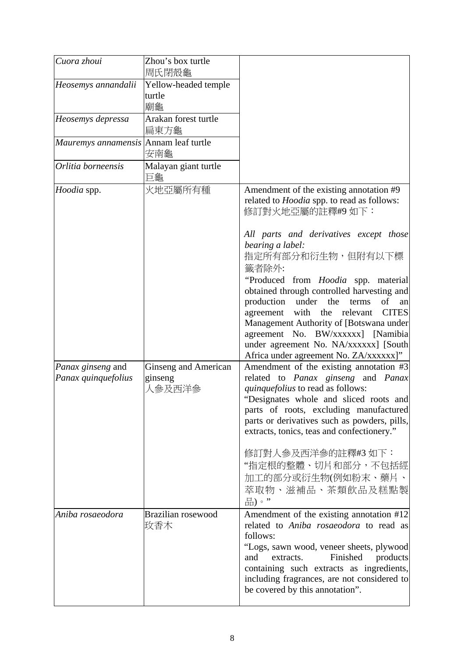| Cuora zhoui                              | Zhou's box turtle<br>周氏閉殻龜                |                                                                                                                                                                                                                                                                                                                                                                                                                                                                                                                                                                    |
|------------------------------------------|-------------------------------------------|--------------------------------------------------------------------------------------------------------------------------------------------------------------------------------------------------------------------------------------------------------------------------------------------------------------------------------------------------------------------------------------------------------------------------------------------------------------------------------------------------------------------------------------------------------------------|
| Heosemys annandalii                      | Yellow-headed temple<br>turtle<br>廟龜      |                                                                                                                                                                                                                                                                                                                                                                                                                                                                                                                                                                    |
| Heosemys depressa                        | Arakan forest turtle<br>扁東方龜              |                                                                                                                                                                                                                                                                                                                                                                                                                                                                                                                                                                    |
| Mauremys annamensis Annam leaf turtle    | 安南龜                                       |                                                                                                                                                                                                                                                                                                                                                                                                                                                                                                                                                                    |
| Orlitia borneensis                       | Malayan giant turtle<br>巨龜                |                                                                                                                                                                                                                                                                                                                                                                                                                                                                                                                                                                    |
| Hoodia spp.                              | 火地亞屬所有種                                   | Amendment of the existing annotation #9<br>related to <i>Hoodia</i> spp. to read as follows:<br>修訂對火地亞屬的註釋#9如下:<br>All parts and derivatives except those<br>bearing a label:<br>指定所有部分和衍生物,但附有以下標<br>籤者除外:<br>"Produced from Hoodia spp. material<br>obtained through controlled harvesting and<br>production under the<br>of<br>terms<br>an<br>with the relevant<br><b>CITES</b><br>agreement<br>Management Authority of [Botswana under<br>agreement No. BW/xxxxxx] [Namibia<br>under agreement No. NA/xxxxxx] [South<br>Africa under agreement No. ZA/xxxxxx]" |
| Panax ginseng and<br>Panax quinquefolius | Ginseng and American<br>ginseng<br>人參及西洋參 | Amendment of the existing annotation #3<br>related to Panax ginseng and Panax<br>quinquefolius to read as follows:<br>"Designates whole and sliced roots and<br>parts of roots, excluding manufactured<br>parts or derivatives such as powders, pills,<br>extracts, tonics, teas and confectionery."<br>修訂對人參及西洋參的註釋#3 如下:<br>"指定根的整體、切片和部分,不包括經<br>加工的部分或衍生物(例如粉末、藥片、<br>萃取物、滋補品、茶類飲品及糕點製<br>品)。"                                                                                                                                                                 |
| Aniba rosaeodora                         | Brazilian rosewood<br>玫香木                 | Amendment of the existing annotation #12<br>related to Aniba rosaeodora to read as<br>follows:<br>"Logs, sawn wood, veneer sheets, plywood<br>Finished<br>products<br>and<br>extracts.<br>containing such extracts as ingredients,<br>including fragrances, are not considered to<br>be covered by this annotation".                                                                                                                                                                                                                                               |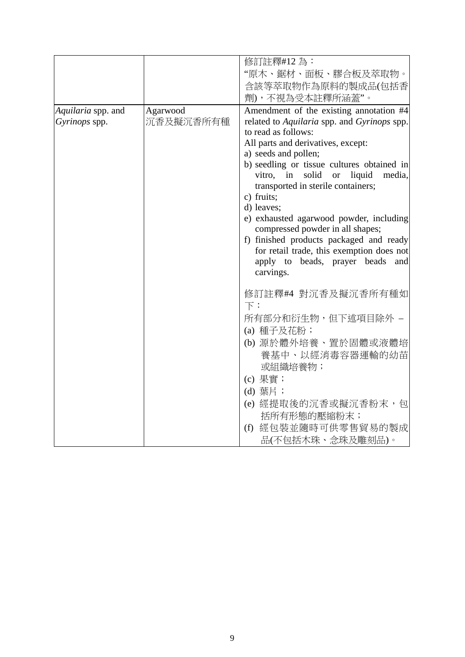|                    |           | 修訂註釋#12為:                                        |
|--------------------|-----------|--------------------------------------------------|
|                    |           | "原木、鋸材、面板、膠合板及萃取物。                               |
|                    |           | 含該等萃取物作為原料的製成品(包括香                               |
|                    |           | 劑),不視為受本註釋所涵蓋"。                                  |
| Aquilaria spp. and | Agarwood  | Amendment of the existing annotation #4          |
| Gyrinops spp.      | 沉香及擬沉香所有種 | related to Aquilaria spp. and Gyrinops spp.      |
|                    |           | to read as follows:                              |
|                    |           | All parts and derivatives, except:               |
|                    |           | a) seeds and pollen;                             |
|                    |           | b) seedling or tissue cultures obtained in       |
|                    |           | vitro, in solid or liquid<br>media,              |
|                    |           | transported in sterile containers;<br>c) fruits; |
|                    |           | d) leaves;                                       |
|                    |           | e) exhausted agarwood powder, including          |
|                    |           | compressed powder in all shapes;                 |
|                    |           | f) finished products packaged and ready          |
|                    |           | for retail trade, this exemption does not        |
|                    |           | apply to beads, prayer beads<br>and              |
|                    |           | carvings.                                        |
|                    |           | 修訂註釋#4 對沉香及擬沉香所有種如                               |
|                    |           | $\top$ :                                         |
|                    |           | 所有部分和衍生物,但下述項目除外 –                               |
|                    |           | (a) 種子及花粉;                                       |
|                    |           | (b) 源於體外培養、置於固體或液體培                              |
|                    |           | 養基中、以經消毒容器運輸的幼苗                                  |
|                    |           | 或組織培養物;                                          |
|                    |           | (c) 果實;                                          |
|                    |           | (d) 葉片;                                          |
|                    |           | (e) 經提取後的沉香或擬沉香粉末, 包                             |
|                    |           | 括所有形態的壓縮粉末;                                      |
|                    |           | (f) 經包裝並隨時可供零售貿易的製成                              |
|                    |           | 品(不包括木珠、念珠及雕刻品)。                                 |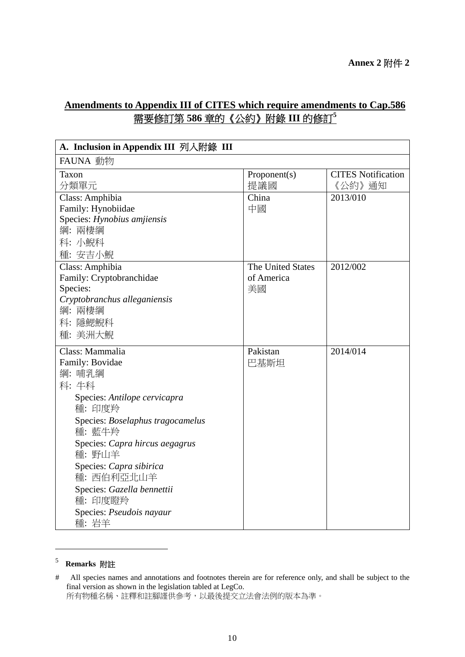# **Amendments to Appendix III of CITES which require amendments to Cap.586**  需要修訂第 **586** 章的《公約》附錄 **III** 的修訂**<sup>5</sup>**

| A. Inclusion in Appendix III 列入附錄 III       |                     |                                     |  |
|---------------------------------------------|---------------------|-------------------------------------|--|
| FAUNA 動物                                    |                     |                                     |  |
| Taxon<br>分類單元                               | Proponent(s)<br>提議國 | <b>CITES Notification</b><br>《公約》通知 |  |
| Class: Amphibia                             | China               | 2013/010                            |  |
| Family: Hynobiidae                          | 中國                  |                                     |  |
| Species: Hynobius amjiensis                 |                     |                                     |  |
| 綱: 兩棲綱                                      |                     |                                     |  |
| 科: 小鯢科                                      |                     |                                     |  |
| 種: 安吉小鯢                                     | The United States   | 2012/002                            |  |
| Class: Amphibia<br>Family: Cryptobranchidae | of America          |                                     |  |
| Species:                                    | 美國                  |                                     |  |
| Cryptobranchus alleganiensis                |                     |                                     |  |
| 綱: 兩棲綱                                      |                     |                                     |  |
| 科:隱鰓鯢科                                      |                     |                                     |  |
| 種: 美洲大鯢                                     |                     |                                     |  |
| Class: Mammalia                             | Pakistan            | 2014/014                            |  |
| Family: Bovidae                             | 巴基斯坦                |                                     |  |
| 綱: 哺乳綱                                      |                     |                                     |  |
| 科:牛科                                        |                     |                                     |  |
| Species: Antilope cervicapra                |                     |                                     |  |
| 種: 印度羚                                      |                     |                                     |  |
| Species: Boselaphus tragocamelus            |                     |                                     |  |
| 種: 藍牛羚                                      |                     |                                     |  |
| Species: Capra hircus aegagrus              |                     |                                     |  |
| 種: 野山羊                                      |                     |                                     |  |
| Species: Capra sibirica                     |                     |                                     |  |
| 種: 西伯利亞北山羊                                  |                     |                                     |  |
| Species: Gazella bennettii                  |                     |                                     |  |
| 種: 印度瞪羚                                     |                     |                                     |  |
| Species: Pseudois nayaur                    |                     |                                     |  |
| 種:岩羊                                        |                     |                                     |  |

# <sup>5</sup> **Remarks** 附註

1

<sup>#</sup> All species names and annotations and footnotes therein are for reference only, and shall be subject to the final version as shown in the legislation tabled at LegCo.

所有物種名稱、註釋和註腳謹供參考,以最後提交立法會法例的版本為準。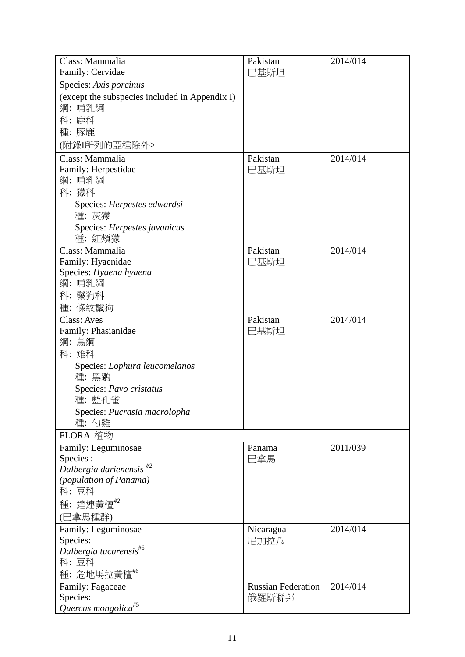| Class: Mammalia                                | Pakistan                  | 2014/014 |
|------------------------------------------------|---------------------------|----------|
| Family: Cervidae                               | 巴基斯坦                      |          |
| Species: Axis porcinus                         |                           |          |
| (except the subspecies included in Appendix I) |                           |          |
| 綱: 哺乳綱                                         |                           |          |
| 科: 鹿科                                          |                           |          |
| 種:豚鹿                                           |                           |          |
| (附錄I所列的亞種除外>                                   |                           |          |
| Class: Mammalia                                | Pakistan                  | 2014/014 |
| Family: Herpestidae                            | 巴基斯坦                      |          |
| 綱: 哺乳綱                                         |                           |          |
| 科: 獴科                                          |                           |          |
| Species: Herpestes edwardsi                    |                           |          |
| 種:灰獴                                           |                           |          |
| Species: Herpestes javanicus                   |                           |          |
| 種: 紅頰獴                                         |                           |          |
| Class: Mammalia                                | Pakistan                  | 2014/014 |
| Family: Hyaenidae                              | 巴基斯坦                      |          |
| Species: Hyaena hyaena                         |                           |          |
| 綱: 哺乳綱                                         |                           |          |
| 科: 鬣狗科                                         |                           |          |
| 種: 條紋鬣狗                                        |                           |          |
| <b>Class: Aves</b>                             | Pakistan                  | 2014/014 |
| Family: Phasianidae                            | 巴基斯坦                      |          |
| 綱: 鳥綱                                          |                           |          |
| 科: 雉科                                          |                           |          |
| Species: Lophura leucomelanos<br>種:黑鷴          |                           |          |
| Species: Pavo cristatus                        |                           |          |
| 種: 藍孔雀                                         |                           |          |
| Species: Pucrasia macrolopha                   |                           |          |
| 種: 勺雞                                          |                           |          |
| FLORA 植物                                       |                           |          |
| Family: Leguminosae                            | Panama                    | 2011/039 |
| Species :                                      | 巴拿馬                       |          |
| Dalbergia darienensis $^{\#2}$                 |                           |          |
| <i>(population of Panama)</i><br>科:豆科          |                           |          |
| 種: 達連黃檀 $^{\#2}$                               |                           |          |
| (巴拿馬種群)                                        |                           |          |
| Family: Leguminosae                            | Nicaragua                 | 2014/014 |
| Species:                                       | 尼加拉瓜                      |          |
| Dalbergia tucurensis <sup>#6</sup>             |                           |          |
| 科: 豆科                                          |                           |          |
| 種:危地馬拉黃檀"                                      |                           |          |
| Family: Fagaceae                               | <b>Russian Federation</b> | 2014/014 |
| Species:                                       | 俄羅斯聯邦                     |          |
| Quercus mongolica <sup>#5</sup>                |                           |          |